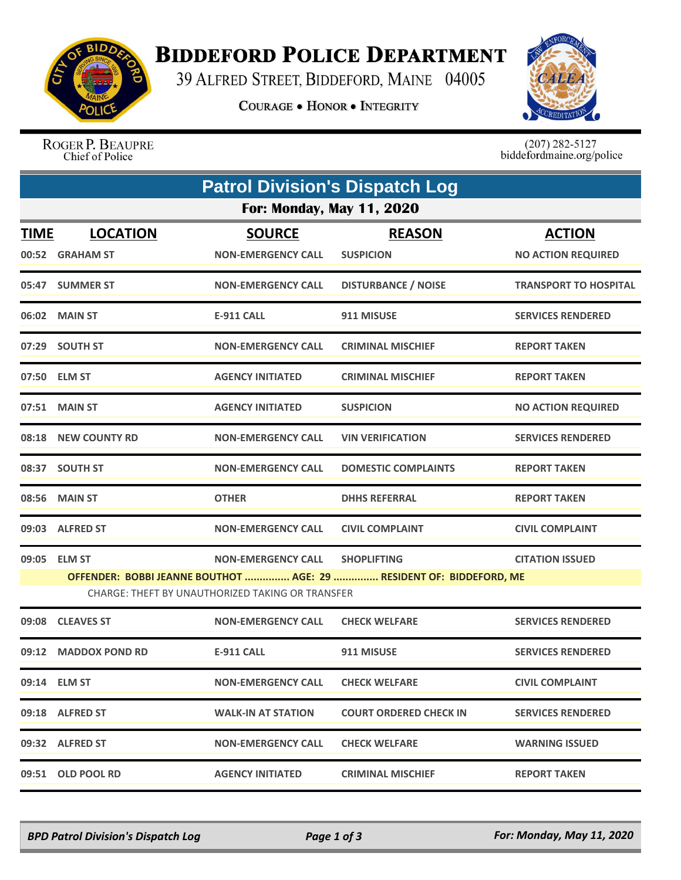

## **BIDDEFORD POLICE DEPARTMENT**

39 ALFRED STREET, BIDDEFORD, MAINE 04005

**COURAGE . HONOR . INTEGRITY** 



ROGER P. BEAUPRE Chief of Police

 $(207)$  282-5127<br>biddefordmaine.org/police

| <b>Patrol Division's Dispatch Log</b> |                                    |                                                                               |                                                                                           |                                            |  |  |  |  |
|---------------------------------------|------------------------------------|-------------------------------------------------------------------------------|-------------------------------------------------------------------------------------------|--------------------------------------------|--|--|--|--|
| <b>For: Monday, May 11, 2020</b>      |                                    |                                                                               |                                                                                           |                                            |  |  |  |  |
| <b>TIME</b>                           | <b>LOCATION</b><br>00:52 GRAHAM ST | <b>SOURCE</b><br><b>NON-EMERGENCY CALL</b>                                    | <b>REASON</b><br><b>SUSPICION</b>                                                         | <b>ACTION</b><br><b>NO ACTION REQUIRED</b> |  |  |  |  |
|                                       | 05:47 SUMMER ST                    | <b>NON-EMERGENCY CALL</b>                                                     | <b>DISTURBANCE / NOISE</b>                                                                | <b>TRANSPORT TO HOSPITAL</b>               |  |  |  |  |
|                                       | 06:02 MAIN ST                      | E-911 CALL                                                                    | 911 MISUSE                                                                                | <b>SERVICES RENDERED</b>                   |  |  |  |  |
|                                       | 07:29 SOUTH ST                     | <b>NON-EMERGENCY CALL</b>                                                     | <b>CRIMINAL MISCHIEF</b>                                                                  | <b>REPORT TAKEN</b>                        |  |  |  |  |
|                                       | 07:50 ELM ST                       | <b>AGENCY INITIATED</b>                                                       | <b>CRIMINAL MISCHIEF</b>                                                                  | <b>REPORT TAKEN</b>                        |  |  |  |  |
|                                       | 07:51 MAIN ST                      | <b>AGENCY INITIATED</b>                                                       | <b>SUSPICION</b>                                                                          | <b>NO ACTION REQUIRED</b>                  |  |  |  |  |
|                                       | 08:18 NEW COUNTY RD                | <b>NON-EMERGENCY CALL</b>                                                     | <b>VIN VERIFICATION</b>                                                                   | <b>SERVICES RENDERED</b>                   |  |  |  |  |
|                                       | 08:37 SOUTH ST                     | <b>NON-EMERGENCY CALL</b>                                                     | <b>DOMESTIC COMPLAINTS</b>                                                                | <b>REPORT TAKEN</b>                        |  |  |  |  |
|                                       | 08:56 MAIN ST                      | <b>OTHER</b>                                                                  | <b>DHHS REFERRAL</b>                                                                      | <b>REPORT TAKEN</b>                        |  |  |  |  |
|                                       | 09:03 ALFRED ST                    | <b>NON-EMERGENCY CALL</b>                                                     | <b>CIVIL COMPLAINT</b>                                                                    | <b>CIVIL COMPLAINT</b>                     |  |  |  |  |
|                                       | 09:05 ELM ST                       | <b>NON-EMERGENCY CALL</b><br>CHARGE: THEFT BY UNAUTHORIZED TAKING OR TRANSFER | <b>SHOPLIFTING</b><br>OFFENDER: BOBBI JEANNE BOUTHOT  AGE: 29  RESIDENT OF: BIDDEFORD, ME | <b>CITATION ISSUED</b>                     |  |  |  |  |
|                                       | 09:08 CLEAVES ST                   | <b>NON-EMERGENCY CALL</b>                                                     | <b>CHECK WELFARE</b>                                                                      | <b>SERVICES RENDERED</b>                   |  |  |  |  |
|                                       | 09:12 MADDOX POND RD               | <b>E-911 CALL</b>                                                             | 911 MISUSE                                                                                | <b>SERVICES RENDERED</b>                   |  |  |  |  |
|                                       | 09:14 ELM ST                       | <b>NON-EMERGENCY CALL</b>                                                     | <b>CHECK WELFARE</b>                                                                      | <b>CIVIL COMPLAINT</b>                     |  |  |  |  |
|                                       | 09:18 ALFRED ST                    | <b>WALK-IN AT STATION</b>                                                     | <b>COURT ORDERED CHECK IN</b>                                                             | <b>SERVICES RENDERED</b>                   |  |  |  |  |
|                                       | 09:32 ALFRED ST                    | <b>NON-EMERGENCY CALL</b>                                                     | <b>CHECK WELFARE</b>                                                                      | <b>WARNING ISSUED</b>                      |  |  |  |  |
|                                       | 09:51 OLD POOL RD                  | <b>AGENCY INITIATED</b>                                                       | <b>CRIMINAL MISCHIEF</b>                                                                  | <b>REPORT TAKEN</b>                        |  |  |  |  |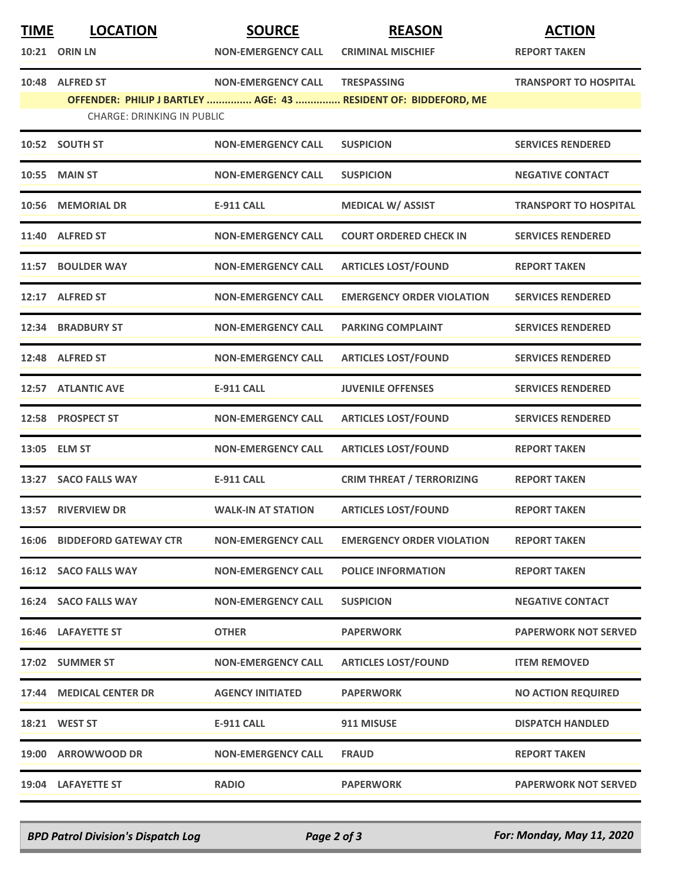| <b>TIME</b> | <b>LOCATION</b><br><b>10:21 ORIN LN</b> | <b>SOURCE</b><br><b>NON-EMERGENCY CALL</b> | <b>REASON</b><br><b>CRIMINAL MISCHIEF</b>                                             | <b>ACTION</b><br><b>REPORT TAKEN</b> |
|-------------|-----------------------------------------|--------------------------------------------|---------------------------------------------------------------------------------------|--------------------------------------|
|             | 10:48 ALFRED ST                         | <b>NON-EMERGENCY CALL</b>                  | <b>TRESPASSING</b><br>OFFENDER: PHILIP J BARTLEY  AGE: 43  RESIDENT OF: BIDDEFORD, ME | <b>TRANSPORT TO HOSPITAL</b>         |
|             | <b>CHARGE: DRINKING IN PUBLIC</b>       |                                            |                                                                                       |                                      |
|             | 10:52 SOUTH ST                          | <b>NON-EMERGENCY CALL</b>                  | <b>SUSPICION</b>                                                                      | <b>SERVICES RENDERED</b>             |
| 10:55       | <b>MAIN ST</b>                          | <b>NON-EMERGENCY CALL</b>                  | <b>SUSPICION</b>                                                                      | <b>NEGATIVE CONTACT</b>              |
|             | 10:56 MEMORIAL DR                       | <b>E-911 CALL</b>                          | <b>MEDICAL W/ ASSIST</b>                                                              | <b>TRANSPORT TO HOSPITAL</b>         |
|             | 11:40 ALFRED ST                         | <b>NON-EMERGENCY CALL</b>                  | <b>COURT ORDERED CHECK IN</b>                                                         | <b>SERVICES RENDERED</b>             |
| 11:57       | <b>BOULDER WAY</b>                      | <b>NON-EMERGENCY CALL</b>                  | <b>ARTICLES LOST/FOUND</b>                                                            | <b>REPORT TAKEN</b>                  |
| 12:17       | <b>ALFRED ST</b>                        | <b>NON-EMERGENCY CALL</b>                  | <b>EMERGENCY ORDER VIOLATION</b>                                                      | <b>SERVICES RENDERED</b>             |
|             | 12:34 BRADBURY ST                       | <b>NON-EMERGENCY CALL</b>                  | <b>PARKING COMPLAINT</b>                                                              | <b>SERVICES RENDERED</b>             |
|             | 12:48 ALFRED ST                         | <b>NON-EMERGENCY CALL</b>                  | <b>ARTICLES LOST/FOUND</b>                                                            | <b>SERVICES RENDERED</b>             |
| 12:57       | <b>ATLANTIC AVE</b>                     | <b>E-911 CALL</b>                          | <b>JUVENILE OFFENSES</b>                                                              | <b>SERVICES RENDERED</b>             |
|             | 12:58 PROSPECT ST                       | <b>NON-EMERGENCY CALL</b>                  | <b>ARTICLES LOST/FOUND</b>                                                            | <b>SERVICES RENDERED</b>             |
|             | 13:05 ELM ST                            | <b>NON-EMERGENCY CALL</b>                  | <b>ARTICLES LOST/FOUND</b>                                                            | <b>REPORT TAKEN</b>                  |
| 13:27       | <b>SACO FALLS WAY</b>                   | <b>E-911 CALL</b>                          | <b>CRIM THREAT / TERRORIZING</b>                                                      | <b>REPORT TAKEN</b>                  |
| 13:57       | <b>RIVERVIEW DR</b>                     | <b>WALK-IN AT STATION</b>                  | <b>ARTICLES LOST/FOUND</b>                                                            | <b>REPORT TAKEN</b>                  |
| 16:06       | <b>BIDDEFORD GATEWAY CTR</b>            | <b>NON-EMERGENCY CALL</b>                  | <b>EMERGENCY ORDER VIOLATION</b>                                                      | <b>REPORT TAKEN</b>                  |
|             | 16:12 SACO FALLS WAY                    | <b>NON-EMERGENCY CALL</b>                  | <b>POLICE INFORMATION</b>                                                             | <b>REPORT TAKEN</b>                  |
|             | 16:24 SACO FALLS WAY                    | <b>NON-EMERGENCY CALL</b>                  | <b>SUSPICION</b>                                                                      | <b>NEGATIVE CONTACT</b>              |
|             | 16:46 LAFAYETTE ST                      | <b>OTHER</b>                               | <b>PAPERWORK</b>                                                                      | <b>PAPERWORK NOT SERVED</b>          |
|             | 17:02 SUMMER ST                         | <b>NON-EMERGENCY CALL</b>                  | <b>ARTICLES LOST/FOUND</b>                                                            | <b>ITEM REMOVED</b>                  |
|             | 17:44 MEDICAL CENTER DR                 | <b>AGENCY INITIATED</b>                    | <b>PAPERWORK</b>                                                                      | <b>NO ACTION REQUIRED</b>            |
|             | <b>18:21 WEST ST</b>                    | <b>E-911 CALL</b>                          | 911 MISUSE                                                                            | <b>DISPATCH HANDLED</b>              |
|             | 19:00 ARROWWOOD DR                      | <b>NON-EMERGENCY CALL</b>                  | <b>FRAUD</b>                                                                          | <b>REPORT TAKEN</b>                  |
|             | 19:04 LAFAYETTE ST                      | <b>RADIO</b>                               | <b>PAPERWORK</b>                                                                      | <b>PAPERWORK NOT SERVED</b>          |

*BPD Patrol Division's Dispatch Log Page 2 of 3 For: Monday, May 11, 2020*